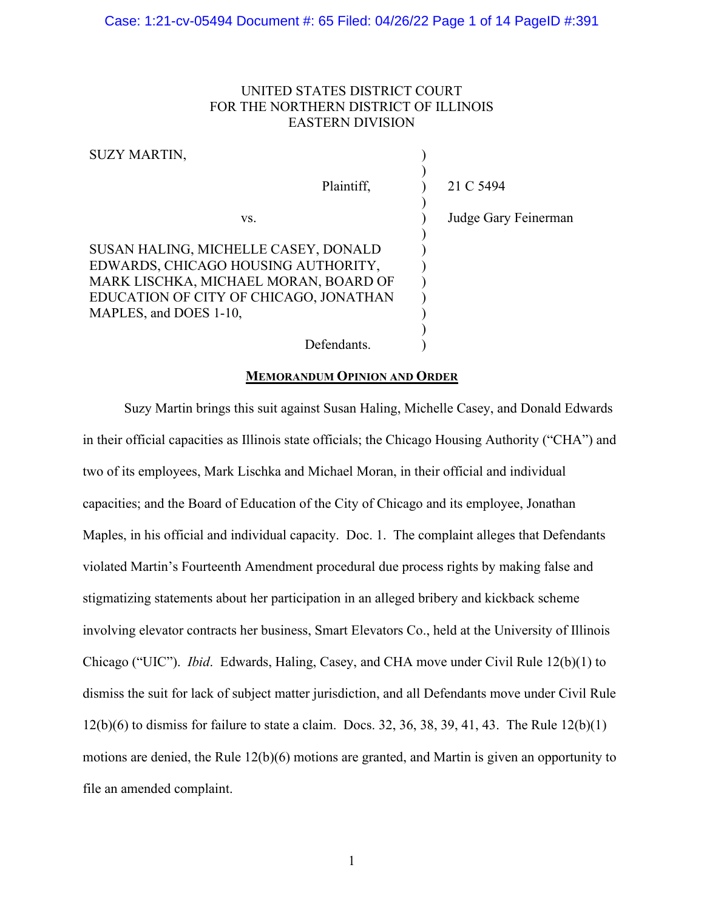# UNITED STATES DISTRICT COURT FOR THE NORTHERN DISTRICT OF ILLINOIS EASTERN DIVISION

 $\lambda$ 

| $\sim$ $\sim$ $\sim$ $\sim$ $\sim$ $\sim$ $\sim$ $\sim$                                                                                                                                  |                         |
|------------------------------------------------------------------------------------------------------------------------------------------------------------------------------------------|-------------------------|
|                                                                                                                                                                                          | Plaintiff,<br>21 C 5494 |
| VS.                                                                                                                                                                                      | Judge Gary Feinerman    |
| SUSAN HALING, MICHELLE CASEY, DONALD<br>EDWARDS, CHICAGO HOUSING AUTHORITY,<br>MARK LISCHKA, MICHAEL MORAN, BOARD OF<br>EDUCATION OF CITY OF CHICAGO, JONATHAN<br>MAPLES, and DOES 1-10, |                         |
| Defendants.                                                                                                                                                                              |                         |

### **MEMORANDUM OPINION AND ORDER**

Suzy Martin brings this suit against Susan Haling, Michelle Casey, and Donald Edwards in their official capacities as Illinois state officials; the Chicago Housing Authority ("CHA") and two of its employees, Mark Lischka and Michael Moran, in their official and individual capacities; and the Board of Education of the City of Chicago and its employee, Jonathan Maples, in his official and individual capacity. Doc. 1. The complaint alleges that Defendants violated Martin's Fourteenth Amendment procedural due process rights by making false and stigmatizing statements about her participation in an alleged bribery and kickback scheme involving elevator contracts her business, Smart Elevators Co., held at the University of Illinois Chicago ("UIC"). *Ibid*. Edwards, Haling, Casey, and CHA move under Civil Rule 12(b)(1) to dismiss the suit for lack of subject matter jurisdiction, and all Defendants move under Civil Rule 12(b)(6) to dismiss for failure to state a claim. Docs. 32, 36, 38, 39, 41, 43. The Rule 12(b)(1) motions are denied, the Rule 12(b)(6) motions are granted, and Martin is given an opportunity to file an amended complaint.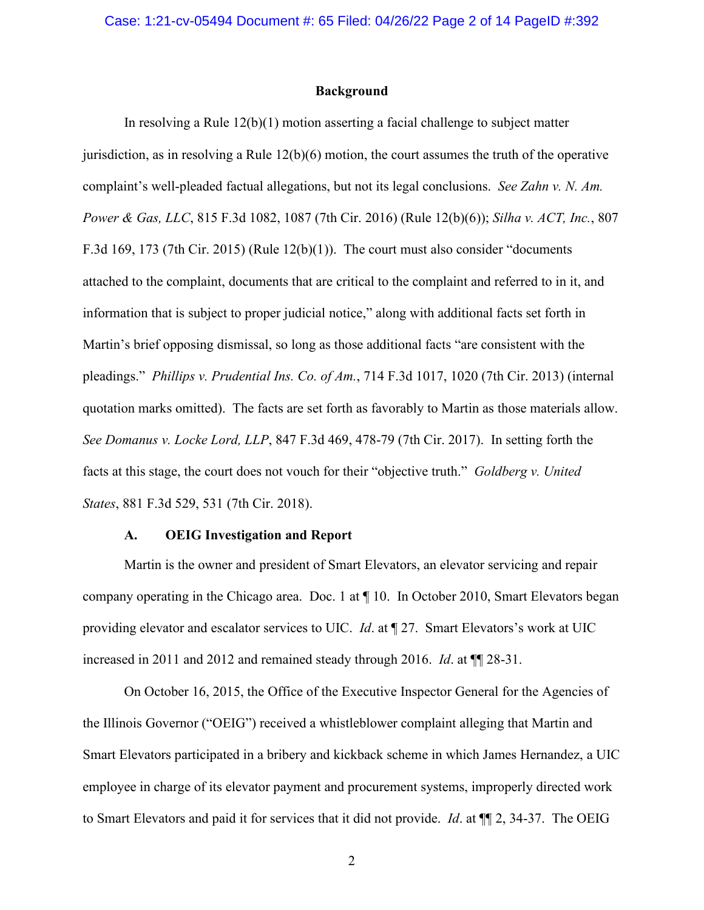### **Background**

In resolving a Rule 12(b)(1) motion asserting a facial challenge to subject matter jurisdiction, as in resolving a Rule  $12(b)(6)$  motion, the court assumes the truth of the operative complaint's well-pleaded factual allegations, but not its legal conclusions. *See Zahn v. N. Am. Power & Gas, LLC*, 815 F.3d 1082, 1087 (7th Cir. 2016) (Rule 12(b)(6)); *Silha v. ACT, Inc.*, 807 F.3d 169, 173 (7th Cir. 2015) (Rule 12(b)(1)). The court must also consider "documents attached to the complaint, documents that are critical to the complaint and referred to in it, and information that is subject to proper judicial notice," along with additional facts set forth in Martin's brief opposing dismissal, so long as those additional facts "are consistent with the pleadings." *Phillips v. Prudential Ins. Co. of Am.*, 714 F.3d 1017, 1020 (7th Cir. 2013) (internal quotation marks omitted). The facts are set forth as favorably to Martin as those materials allow. *See Domanus v. Locke Lord, LLP*, 847 F.3d 469, 478-79 (7th Cir. 2017). In setting forth the facts at this stage, the court does not vouch for their "objective truth." *Goldberg v. United States*, 881 F.3d 529, 531 (7th Cir. 2018).

### **A. OEIG Investigation and Report**

Martin is the owner and president of Smart Elevators, an elevator servicing and repair company operating in the Chicago area. Doc. 1 at ¶ 10. In October 2010, Smart Elevators began providing elevator and escalator services to UIC. *Id*. at ¶ 27. Smart Elevators's work at UIC increased in 2011 and 2012 and remained steady through 2016. *Id*. at ¶¶ 28-31.

On October 16, 2015, the Office of the Executive Inspector General for the Agencies of the Illinois Governor ("OEIG") received a whistleblower complaint alleging that Martin and Smart Elevators participated in a bribery and kickback scheme in which James Hernandez, a UIC employee in charge of its elevator payment and procurement systems, improperly directed work to Smart Elevators and paid it for services that it did not provide. *Id*. at ¶¶ 2, 34-37. The OEIG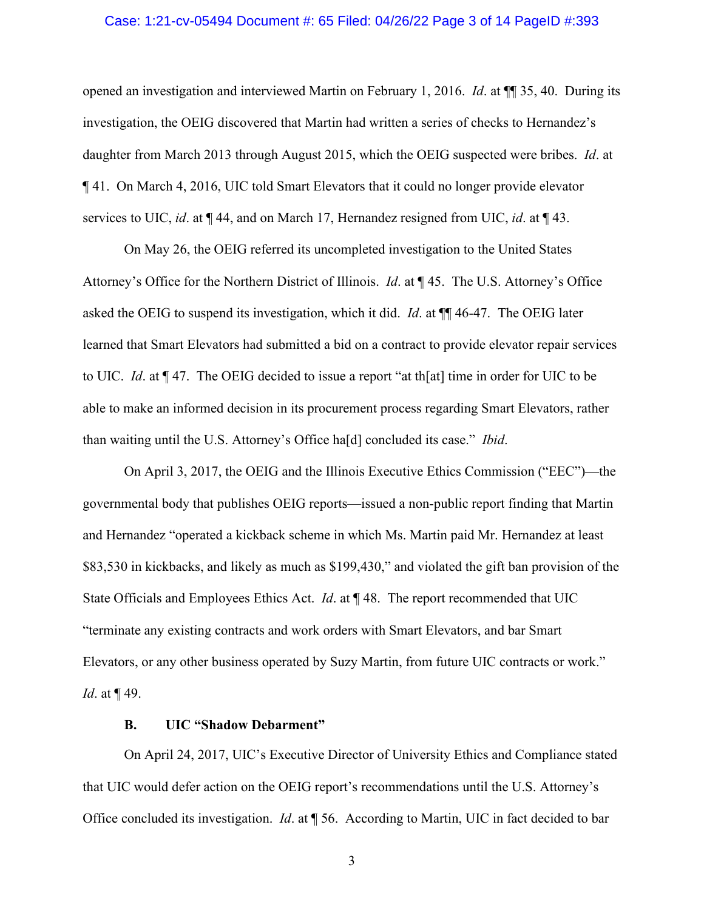### Case: 1:21-cv-05494 Document #: 65 Filed: 04/26/22 Page 3 of 14 PageID #:393

opened an investigation and interviewed Martin on February 1, 2016. *Id*. at ¶¶ 35, 40. During its investigation, the OEIG discovered that Martin had written a series of checks to Hernandez's daughter from March 2013 through August 2015, which the OEIG suspected were bribes. *Id*. at ¶ 41. On March 4, 2016, UIC told Smart Elevators that it could no longer provide elevator services to UIC, *id*. at ¶ 44, and on March 17, Hernandez resigned from UIC, *id*. at ¶ 43.

On May 26, the OEIG referred its uncompleted investigation to the United States Attorney's Office for the Northern District of Illinois. *Id*. at ¶ 45. The U.S. Attorney's Office asked the OEIG to suspend its investigation, which it did. *Id*. at ¶¶ 46-47. The OEIG later learned that Smart Elevators had submitted a bid on a contract to provide elevator repair services to UIC. *Id*. at ¶ 47. The OEIG decided to issue a report "at th[at] time in order for UIC to be able to make an informed decision in its procurement process regarding Smart Elevators, rather than waiting until the U.S. Attorney's Office ha[d] concluded its case." *Ibid*.

On April 3, 2017, the OEIG and the Illinois Executive Ethics Commission ("EEC")—the governmental body that publishes OEIG reports—issued a non-public report finding that Martin and Hernandez "operated a kickback scheme in which Ms. Martin paid Mr. Hernandez at least \$83,530 in kickbacks, and likely as much as \$199,430," and violated the gift ban provision of the State Officials and Employees Ethics Act. *Id*. at ¶ 48. The report recommended that UIC "terminate any existing contracts and work orders with Smart Elevators, and bar Smart Elevators, or any other business operated by Suzy Martin, from future UIC contracts or work." *Id*. at ¶ 49.

# **B. UIC "Shadow Debarment"**

On April 24, 2017, UIC's Executive Director of University Ethics and Compliance stated that UIC would defer action on the OEIG report's recommendations until the U.S. Attorney's Office concluded its investigation. *Id*. at ¶ 56. According to Martin, UIC in fact decided to bar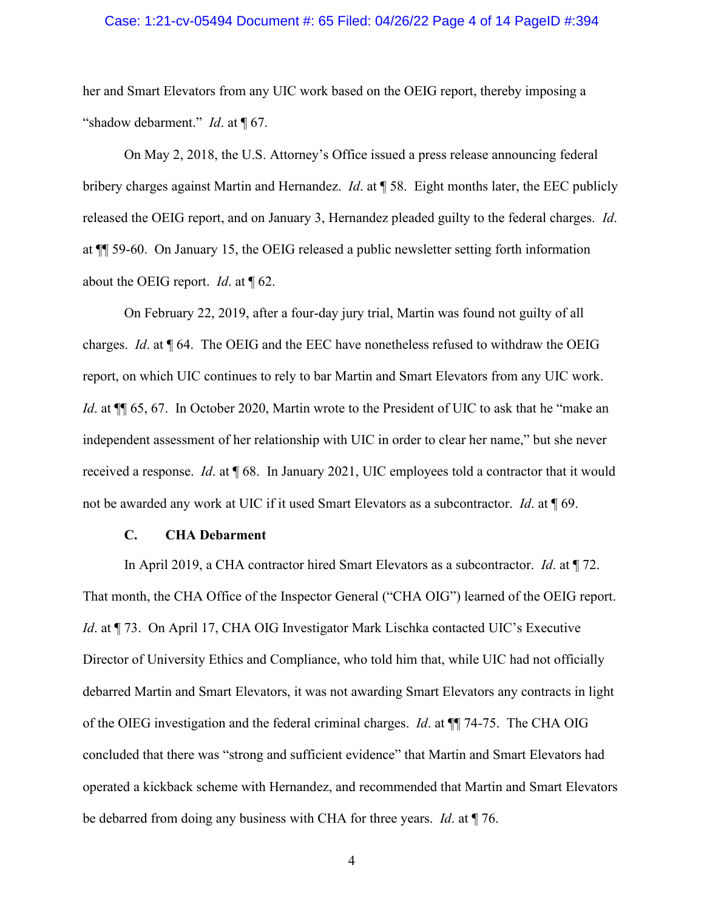### Case: 1:21-cv-05494 Document #: 65 Filed: 04/26/22 Page 4 of 14 PageID #:394

her and Smart Elevators from any UIC work based on the OEIG report, thereby imposing a "shadow debarment." *Id*. at ¶ 67.

On May 2, 2018, the U.S. Attorney's Office issued a press release announcing federal bribery charges against Martin and Hernandez. *Id*. at ¶ 58. Eight months later, the EEC publicly released the OEIG report, and on January 3, Hernandez pleaded guilty to the federal charges. *Id*. at ¶¶ 59-60. On January 15, the OEIG released a public newsletter setting forth information about the OEIG report. *Id*. at ¶ 62.

On February 22, 2019, after a four-day jury trial, Martin was found not guilty of all charges. *Id*. at ¶ 64. The OEIG and the EEC have nonetheless refused to withdraw the OEIG report, on which UIC continues to rely to bar Martin and Smart Elevators from any UIC work. *Id.* at  $\P$  65, 67. In October 2020, Martin wrote to the President of UIC to ask that he "make an independent assessment of her relationship with UIC in order to clear her name," but she never received a response. *Id*. at ¶ 68. In January 2021, UIC employees told a contractor that it would not be awarded any work at UIC if it used Smart Elevators as a subcontractor. *Id*. at ¶ 69.

#### **C. CHA Debarment**

In April 2019, a CHA contractor hired Smart Elevators as a subcontractor. *Id*. at ¶ 72. That month, the CHA Office of the Inspector General ("CHA OIG") learned of the OEIG report. *Id.* at ¶ 73. On April 17, CHA OIG Investigator Mark Lischka contacted UIC's Executive Director of University Ethics and Compliance, who told him that, while UIC had not officially debarred Martin and Smart Elevators, it was not awarding Smart Elevators any contracts in light of the OIEG investigation and the federal criminal charges. *Id*. at ¶¶ 74-75. The CHA OIG concluded that there was "strong and sufficient evidence" that Martin and Smart Elevators had operated a kickback scheme with Hernandez, and recommended that Martin and Smart Elevators be debarred from doing any business with CHA for three years. *Id*. at ¶ 76.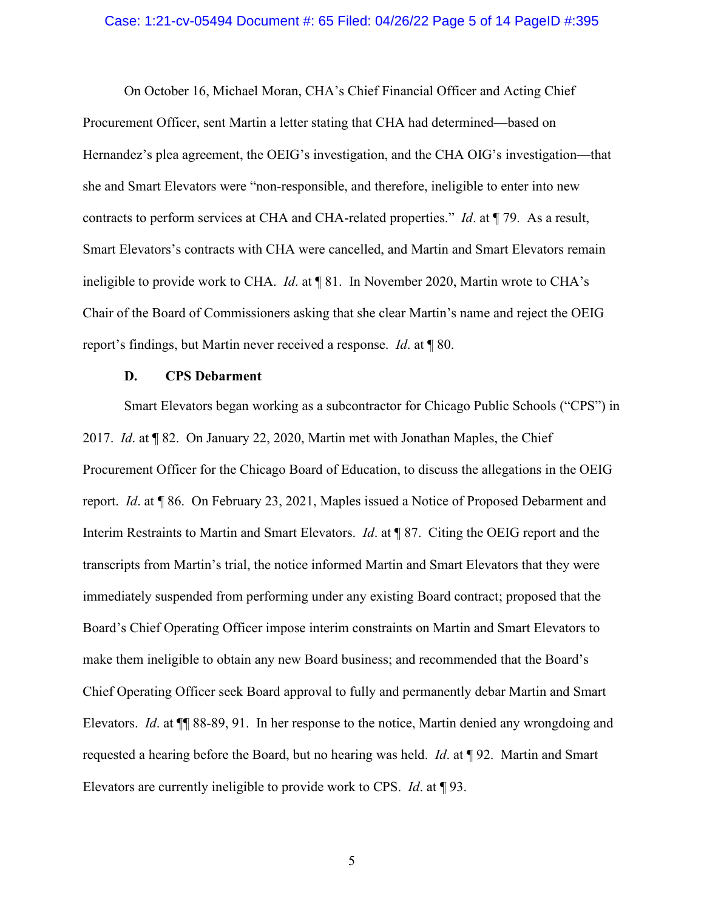### Case: 1:21-cv-05494 Document #: 65 Filed: 04/26/22 Page 5 of 14 PageID #:395

On October 16, Michael Moran, CHA's Chief Financial Officer and Acting Chief Procurement Officer, sent Martin a letter stating that CHA had determined—based on Hernandez's plea agreement, the OEIG's investigation, and the CHA OIG's investigation—that she and Smart Elevators were "non-responsible, and therefore, ineligible to enter into new contracts to perform services at CHA and CHA-related properties." *Id*. at ¶ 79. As a result, Smart Elevators's contracts with CHA were cancelled, and Martin and Smart Elevators remain ineligible to provide work to CHA. *Id*. at ¶ 81. In November 2020, Martin wrote to CHA's Chair of the Board of Commissioners asking that she clear Martin's name and reject the OEIG report's findings, but Martin never received a response. *Id*. at ¶ 80.

## **D. CPS Debarment**

Smart Elevators began working as a subcontractor for Chicago Public Schools ("CPS") in 2017. *Id*. at ¶ 82. On January 22, 2020, Martin met with Jonathan Maples, the Chief Procurement Officer for the Chicago Board of Education, to discuss the allegations in the OEIG report. *Id*. at ¶ 86. On February 23, 2021, Maples issued a Notice of Proposed Debarment and Interim Restraints to Martin and Smart Elevators. *Id*. at ¶ 87. Citing the OEIG report and the transcripts from Martin's trial, the notice informed Martin and Smart Elevators that they were immediately suspended from performing under any existing Board contract; proposed that the Board's Chief Operating Officer impose interim constraints on Martin and Smart Elevators to make them ineligible to obtain any new Board business; and recommended that the Board's Chief Operating Officer seek Board approval to fully and permanently debar Martin and Smart Elevators. *Id*. at ¶¶ 88-89, 91. In her response to the notice, Martin denied any wrongdoing and requested a hearing before the Board, but no hearing was held. *Id*. at ¶ 92. Martin and Smart Elevators are currently ineligible to provide work to CPS. *Id*. at ¶ 93.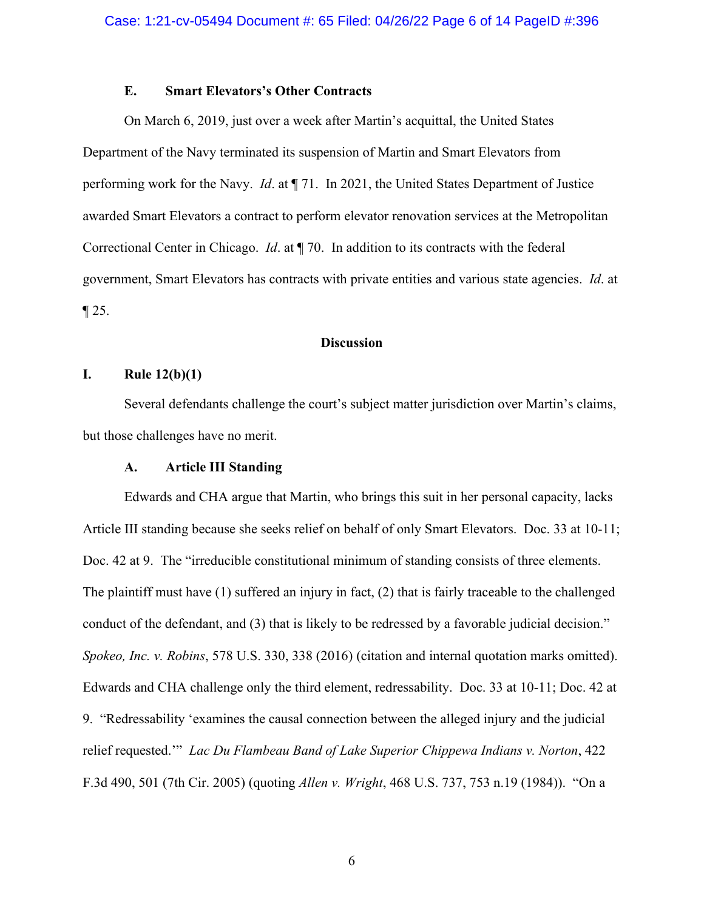# **E. Smart Elevators's Other Contracts**

On March 6, 2019, just over a week after Martin's acquittal, the United States Department of the Navy terminated its suspension of Martin and Smart Elevators from performing work for the Navy. *Id*. at ¶ 71. In 2021, the United States Department of Justice awarded Smart Elevators a contract to perform elevator renovation services at the Metropolitan Correctional Center in Chicago. *Id*. at ¶ 70. In addition to its contracts with the federal government, Smart Elevators has contracts with private entities and various state agencies. *Id*. at  $\P$  25.

# **Discussion**

# **I. Rule 12(b)(1)**

Several defendants challenge the court's subject matter jurisdiction over Martin's claims, but those challenges have no merit.

# **A. Article III Standing**

Edwards and CHA argue that Martin, who brings this suit in her personal capacity, lacks Article III standing because she seeks relief on behalf of only Smart Elevators. Doc. 33 at 10-11; Doc. 42 at 9. The "irreducible constitutional minimum of standing consists of three elements. The plaintiff must have (1) suffered an injury in fact, (2) that is fairly traceable to the challenged conduct of the defendant, and (3) that is likely to be redressed by a favorable judicial decision." *Spokeo, Inc. v. Robins*, 578 U.S. 330, 338 (2016) (citation and internal quotation marks omitted). Edwards and CHA challenge only the third element, redressability. Doc. 33 at 10-11; Doc. 42 at 9. "Redressability 'examines the causal connection between the alleged injury and the judicial relief requested.'" *Lac Du Flambeau Band of Lake Superior Chippewa Indians v. Norton*, 422 F.3d 490, 501 (7th Cir. 2005) (quoting *Allen v. Wright*, 468 U.S. 737, 753 n.19 (1984)). "On a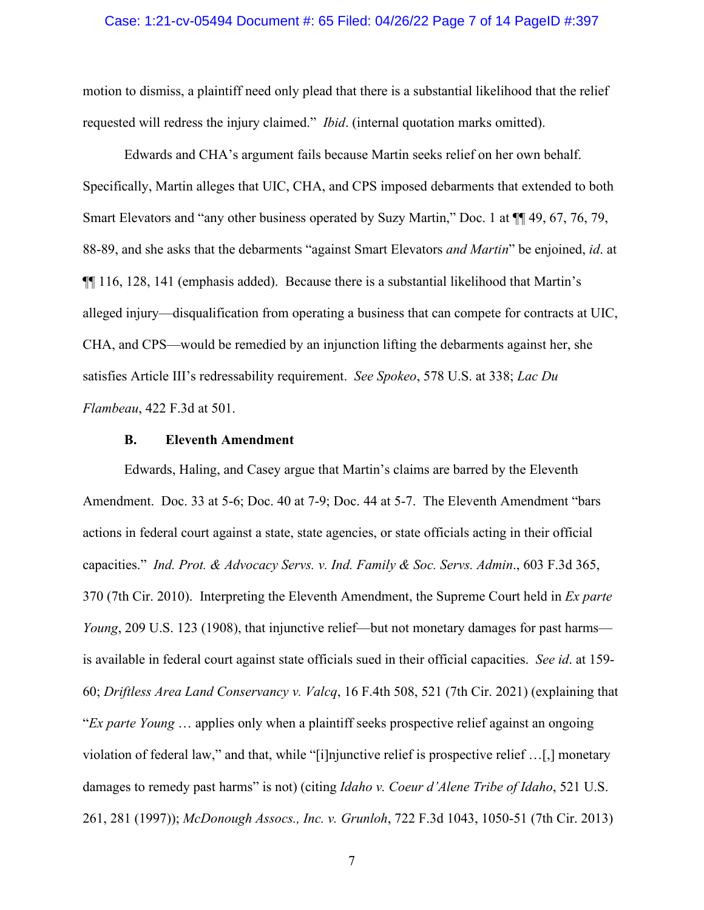### Case: 1:21-cv-05494 Document #: 65 Filed: 04/26/22 Page 7 of 14 PageID #:397

motion to dismiss, a plaintiff need only plead that there is a substantial likelihood that the relief requested will redress the injury claimed." *Ibid*. (internal quotation marks omitted).

Edwards and CHA's argument fails because Martin seeks relief on her own behalf. Specifically, Martin alleges that UIC, CHA, and CPS imposed debarments that extended to both Smart Elevators and "any other business operated by Suzy Martin," Doc. 1 at ¶¶ 49, 67, 76, 79, 88-89, and she asks that the debarments "against Smart Elevators *and Martin*" be enjoined, *id*. at ¶¶ 116, 128, 141 (emphasis added). Because there is a substantial likelihood that Martin's alleged injury—disqualification from operating a business that can compete for contracts at UIC, CHA, and CPS—would be remedied by an injunction lifting the debarments against her, she satisfies Article III's redressability requirement. *See Spokeo*, 578 U.S. at 338; *Lac Du Flambeau*, 422 F.3d at 501.

## **B. Eleventh Amendment**

Edwards, Haling, and Casey argue that Martin's claims are barred by the Eleventh Amendment. Doc. 33 at 5-6; Doc. 40 at 7-9; Doc. 44 at 5-7. The Eleventh Amendment "bars actions in federal court against a state, state agencies, or state officials acting in their official capacities." *Ind. Prot. & Advocacy Servs. v. Ind. Family & Soc. Servs. Admin*., 603 F.3d 365, 370 (7th Cir. 2010). Interpreting the Eleventh Amendment, the Supreme Court held in *Ex parte Young*, 209 U.S. 123 (1908), that injunctive relief—but not monetary damages for past harms is available in federal court against state officials sued in their official capacities. *See id*. at 159- 60; *Driftless Area Land Conservancy v. Valcq*, 16 F.4th 508, 521 (7th Cir. 2021) (explaining that "*Ex parte Young* … applies only when a plaintiff seeks prospective relief against an ongoing violation of federal law," and that, while "[i]njunctive relief is prospective relief …[,] monetary damages to remedy past harms" is not) (citing *Idaho v. Coeur d'Alene Tribe of Idaho*, 521 U.S. 261, 281 (1997)); *McDonough Assocs., Inc. v. Grunloh*, 722 F.3d 1043, 1050-51 (7th Cir. 2013)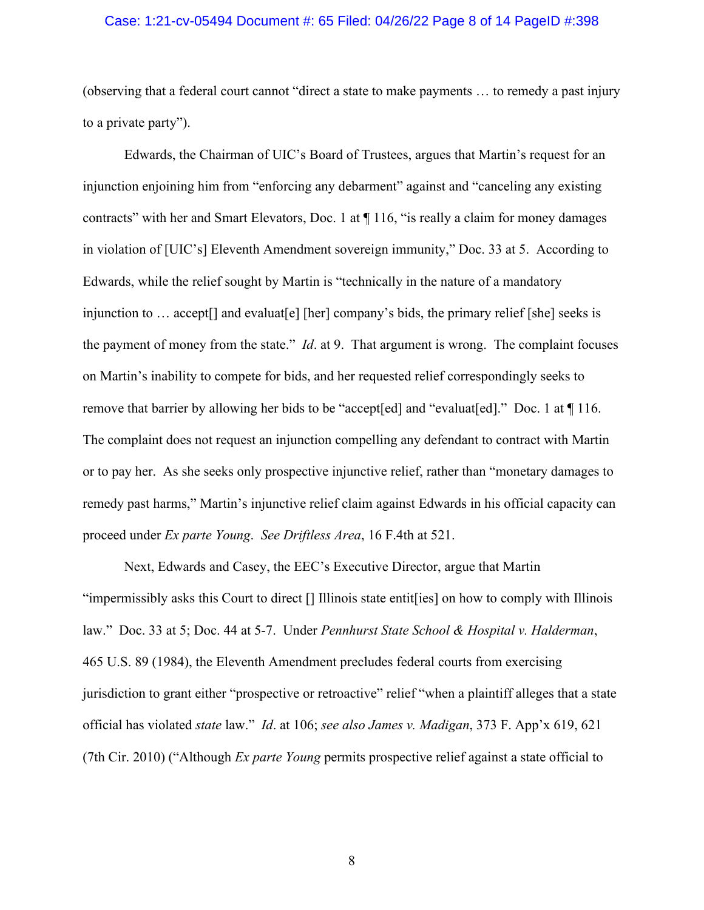### Case: 1:21-cv-05494 Document #: 65 Filed: 04/26/22 Page 8 of 14 PageID #:398

(observing that a federal court cannot "direct a state to make payments … to remedy a past injury to a private party").

Edwards, the Chairman of UIC's Board of Trustees, argues that Martin's request for an injunction enjoining him from "enforcing any debarment" against and "canceling any existing contracts" with her and Smart Elevators, Doc. 1 at ¶ 116, "is really a claim for money damages in violation of [UIC's] Eleventh Amendment sovereign immunity," Doc. 33 at 5. According to Edwards, while the relief sought by Martin is "technically in the nature of a mandatory injunction to ... accept<sup>[]</sup> and evaluat<sup>[e]</sup> [her] company's bids, the primary relief [she] seeks is the payment of money from the state." *Id*. at 9. That argument is wrong. The complaint focuses on Martin's inability to compete for bids, and her requested relief correspondingly seeks to remove that barrier by allowing her bids to be "accept[ed] and "evaluat[ed]." Doc. 1 at  $\P$  116. The complaint does not request an injunction compelling any defendant to contract with Martin or to pay her. As she seeks only prospective injunctive relief, rather than "monetary damages to remedy past harms," Martin's injunctive relief claim against Edwards in his official capacity can proceed under *Ex parte Young*. *See Driftless Area*, 16 F.4th at 521.

Next, Edwards and Casey, the EEC's Executive Director, argue that Martin "impermissibly asks this Court to direct [] Illinois state entit[ies] on how to comply with Illinois law." Doc. 33 at 5; Doc. 44 at 5-7. Under *Pennhurst State School & Hospital v. Halderman*, 465 U.S. 89 (1984), the Eleventh Amendment precludes federal courts from exercising jurisdiction to grant either "prospective or retroactive" relief "when a plaintiff alleges that a state official has violated *state* law." *Id*. at 106; *see also James v. Madigan*, 373 F. App'x 619, 621 (7th Cir. 2010) ("Although *Ex parte Young* permits prospective relief against a state official to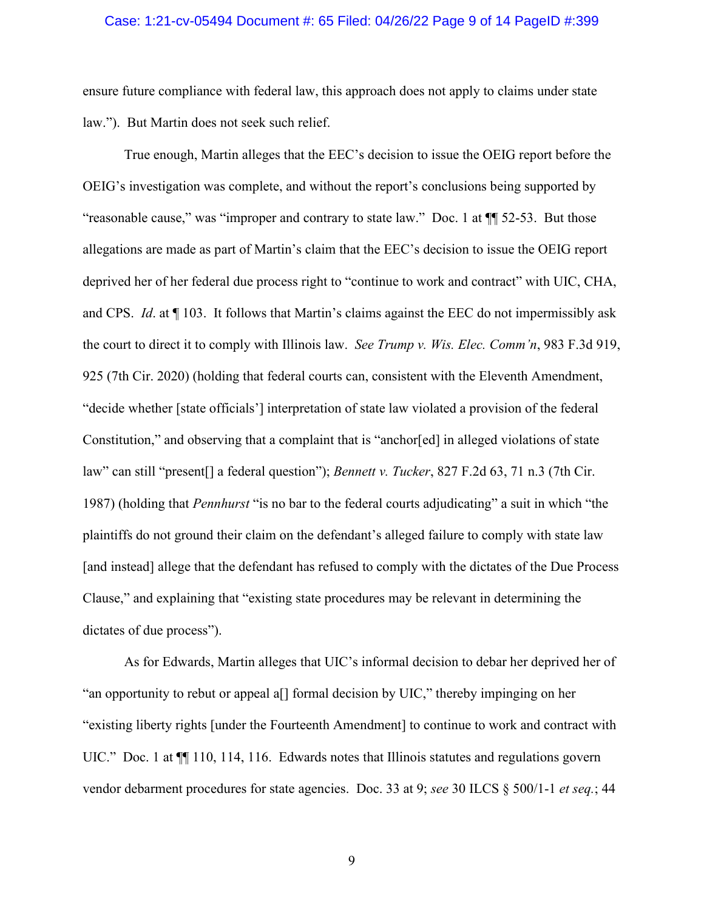### Case: 1:21-cv-05494 Document #: 65 Filed: 04/26/22 Page 9 of 14 PageID #:399

ensure future compliance with federal law, this approach does not apply to claims under state law."). But Martin does not seek such relief.

True enough, Martin alleges that the EEC's decision to issue the OEIG report before the OEIG's investigation was complete, and without the report's conclusions being supported by "reasonable cause," was "improper and contrary to state law." Doc. 1 at ¶¶ 52-53. But those allegations are made as part of Martin's claim that the EEC's decision to issue the OEIG report deprived her of her federal due process right to "continue to work and contract" with UIC, CHA, and CPS. *Id*. at ¶ 103. It follows that Martin's claims against the EEC do not impermissibly ask the court to direct it to comply with Illinois law. *See Trump v. Wis. Elec. Comm'n*, 983 F.3d 919, 925 (7th Cir. 2020) (holding that federal courts can, consistent with the Eleventh Amendment, "decide whether [state officials'] interpretation of state law violated a provision of the federal Constitution," and observing that a complaint that is "anchor[ed] in alleged violations of state law" can still "present[] a federal question"); *Bennett v. Tucker*, 827 F.2d 63, 71 n.3 (7th Cir. 1987) (holding that *Pennhurst* "is no bar to the federal courts adjudicating" a suit in which "the plaintiffs do not ground their claim on the defendant's alleged failure to comply with state law [and instead] allege that the defendant has refused to comply with the dictates of the Due Process Clause," and explaining that "existing state procedures may be relevant in determining the dictates of due process").

As for Edwards, Martin alleges that UIC's informal decision to debar her deprived her of "an opportunity to rebut or appeal a[] formal decision by UIC," thereby impinging on her "existing liberty rights [under the Fourteenth Amendment] to continue to work and contract with UIC." Doc. 1 at  $\P$  110, 114, 116. Edwards notes that Illinois statutes and regulations govern vendor debarment procedures for state agencies. Doc. 33 at 9; *see* 30 ILCS § 500/1-1 *et seq.*; 44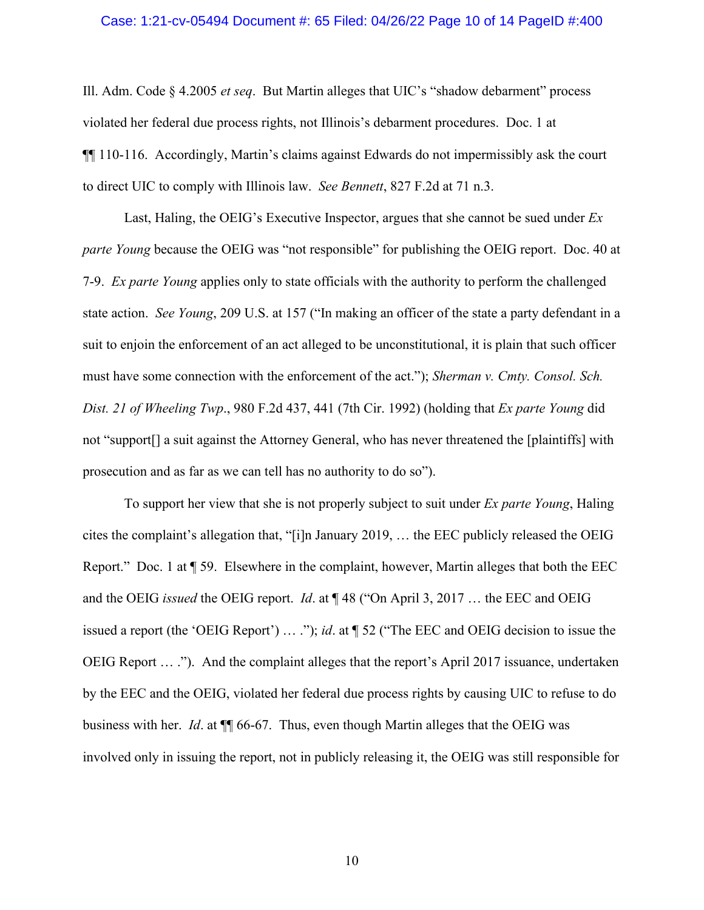### Case: 1:21-cv-05494 Document #: 65 Filed: 04/26/22 Page 10 of 14 PageID #:400

Ill. Adm. Code § 4.2005 *et seq*. But Martin alleges that UIC's "shadow debarment" process violated her federal due process rights, not Illinois's debarment procedures. Doc. 1 at ¶¶ 110-116. Accordingly, Martin's claims against Edwards do not impermissibly ask the court to direct UIC to comply with Illinois law. *See Bennett*, 827 F.2d at 71 n.3.

Last, Haling, the OEIG's Executive Inspector, argues that she cannot be sued under *Ex parte Young* because the OEIG was "not responsible" for publishing the OEIG report. Doc. 40 at 7-9. *Ex parte Young* applies only to state officials with the authority to perform the challenged state action. *See Young*, 209 U.S. at 157 ("In making an officer of the state a party defendant in a suit to enjoin the enforcement of an act alleged to be unconstitutional, it is plain that such officer must have some connection with the enforcement of the act."); *Sherman v. Cmty. Consol. Sch. Dist. 21 of Wheeling Twp*., 980 F.2d 437, 441 (7th Cir. 1992) (holding that *Ex parte Young* did not "support[] a suit against the Attorney General, who has never threatened the [plaintiffs] with prosecution and as far as we can tell has no authority to do so").

To support her view that she is not properly subject to suit under *Ex parte Young*, Haling cites the complaint's allegation that, "[i]n January 2019, … the EEC publicly released the OEIG Report." Doc. 1 at ¶ 59. Elsewhere in the complaint, however, Martin alleges that both the EEC and the OEIG *issued* the OEIG report. *Id*. at ¶ 48 ("On April 3, 2017 … the EEC and OEIG issued a report (the 'OEIG Report') … ."); *id*. at ¶ 52 ("The EEC and OEIG decision to issue the OEIG Report … ."). And the complaint alleges that the report's April 2017 issuance, undertaken by the EEC and the OEIG, violated her federal due process rights by causing UIC to refuse to do business with her. *Id*. at ¶¶ 66-67. Thus, even though Martin alleges that the OEIG was involved only in issuing the report, not in publicly releasing it, the OEIG was still responsible for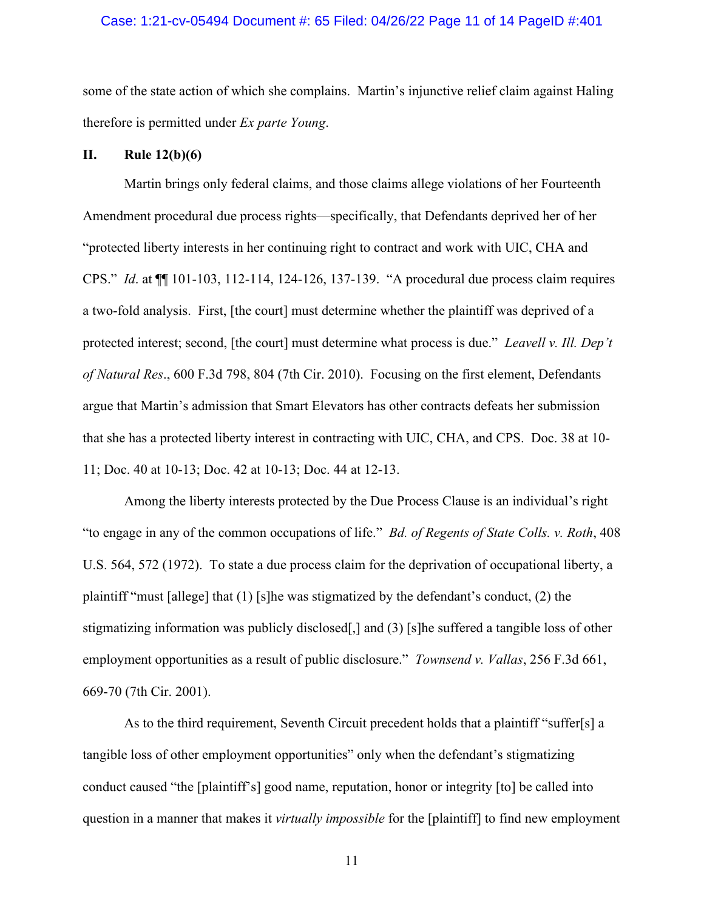### Case: 1:21-cv-05494 Document #: 65 Filed: 04/26/22 Page 11 of 14 PageID #:401

some of the state action of which she complains. Martin's injunctive relief claim against Haling therefore is permitted under *Ex parte Young*.

## **II. Rule 12(b)(6)**

Martin brings only federal claims, and those claims allege violations of her Fourteenth Amendment procedural due process rights—specifically, that Defendants deprived her of her "protected liberty interests in her continuing right to contract and work with UIC, CHA and CPS." *Id*. at ¶¶ 101-103, 112-114, 124-126, 137-139. "A procedural due process claim requires a two-fold analysis. First, [the court] must determine whether the plaintiff was deprived of a protected interest; second, [the court] must determine what process is due." *Leavell v. Ill. Dep't of Natural Res*., 600 F.3d 798, 804 (7th Cir. 2010). Focusing on the first element, Defendants argue that Martin's admission that Smart Elevators has other contracts defeats her submission that she has a protected liberty interest in contracting with UIC, CHA, and CPS. Doc. 38 at 10- 11; Doc. 40 at 10-13; Doc. 42 at 10-13; Doc. 44 at 12-13.

Among the liberty interests protected by the Due Process Clause is an individual's right "to engage in any of the common occupations of life." *Bd. of Regents of State Colls. v. Roth*, 408 U.S. 564, 572 (1972). To state a due process claim for the deprivation of occupational liberty, a plaintiff "must [allege] that (1) [s]he was stigmatized by the defendant's conduct, (2) the stigmatizing information was publicly disclosed[,] and (3) [s]he suffered a tangible loss of other employment opportunities as a result of public disclosure." *Townsend v. Vallas*, 256 F.3d 661, 669-70 (7th Cir. 2001).

As to the third requirement, Seventh Circuit precedent holds that a plaintiff "suffer[s] a tangible loss of other employment opportunities" only when the defendant's stigmatizing conduct caused "the [plaintiff's] good name, reputation, honor or integrity [to] be called into question in a manner that makes it *virtually impossible* for the [plaintiff] to find new employment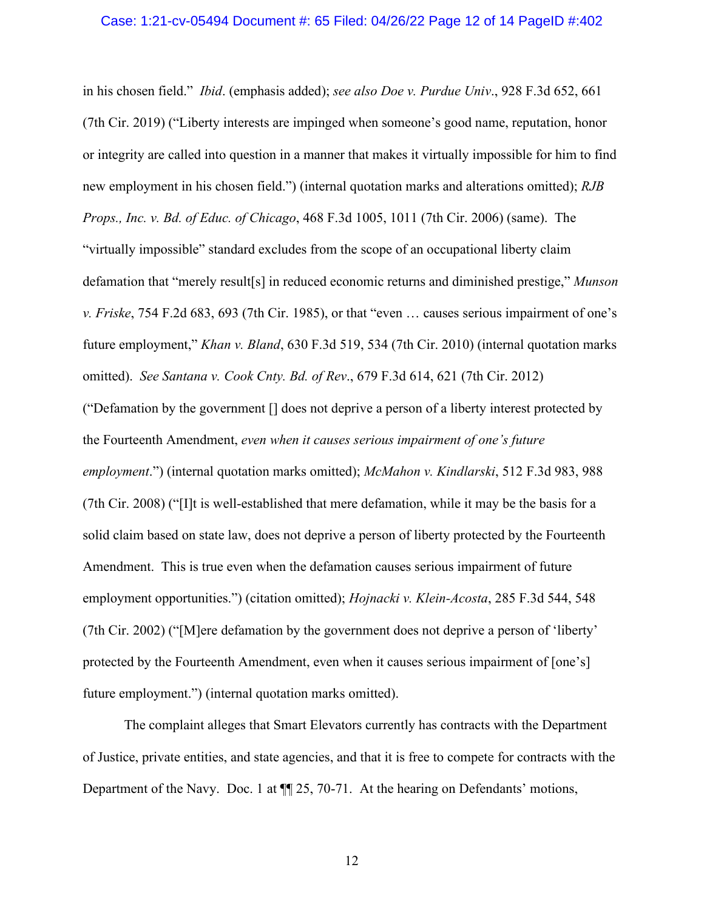### Case: 1:21-cv-05494 Document #: 65 Filed: 04/26/22 Page 12 of 14 PageID #:402

in his chosen field." *Ibid*. (emphasis added); *see also Doe v. Purdue Univ*., 928 F.3d 652, 661 (7th Cir. 2019) ("Liberty interests are impinged when someone's good name, reputation, honor or integrity are called into question in a manner that makes it virtually impossible for him to find new employment in his chosen field.") (internal quotation marks and alterations omitted); *RJB Props., Inc. v. Bd. of Educ. of Chicago*, 468 F.3d 1005, 1011 (7th Cir. 2006) (same). The "virtually impossible" standard excludes from the scope of an occupational liberty claim defamation that "merely result[s] in reduced economic returns and diminished prestige," *Munson v. Friske*, 754 F.2d 683, 693 (7th Cir. 1985), or that "even … causes serious impairment of one's future employment," *Khan v. Bland*, 630 F.3d 519, 534 (7th Cir. 2010) (internal quotation marks omitted). *See Santana v. Cook Cnty. Bd. of Rev*., 679 F.3d 614, 621 (7th Cir. 2012) ("Defamation by the government [] does not deprive a person of a liberty interest protected by the Fourteenth Amendment, *even when it causes serious impairment of one's future employment*.") (internal quotation marks omitted); *McMahon v. Kindlarski*, 512 F.3d 983, 988 (7th Cir. 2008) ("[I]t is well-established that mere defamation, while it may be the basis for a solid claim based on state law, does not deprive a person of liberty protected by the Fourteenth Amendment. This is true even when the defamation causes serious impairment of future employment opportunities.") (citation omitted); *Hojnacki v. Klein-Acosta*, 285 F.3d 544, 548 (7th Cir. 2002) ("[M]ere defamation by the government does not deprive a person of 'liberty' protected by the Fourteenth Amendment, even when it causes serious impairment of [one's] future employment.") (internal quotation marks omitted).

The complaint alleges that Smart Elevators currently has contracts with the Department of Justice, private entities, and state agencies, and that it is free to compete for contracts with the Department of the Navy. Doc. 1 at  $\P$  25, 70-71. At the hearing on Defendants' motions,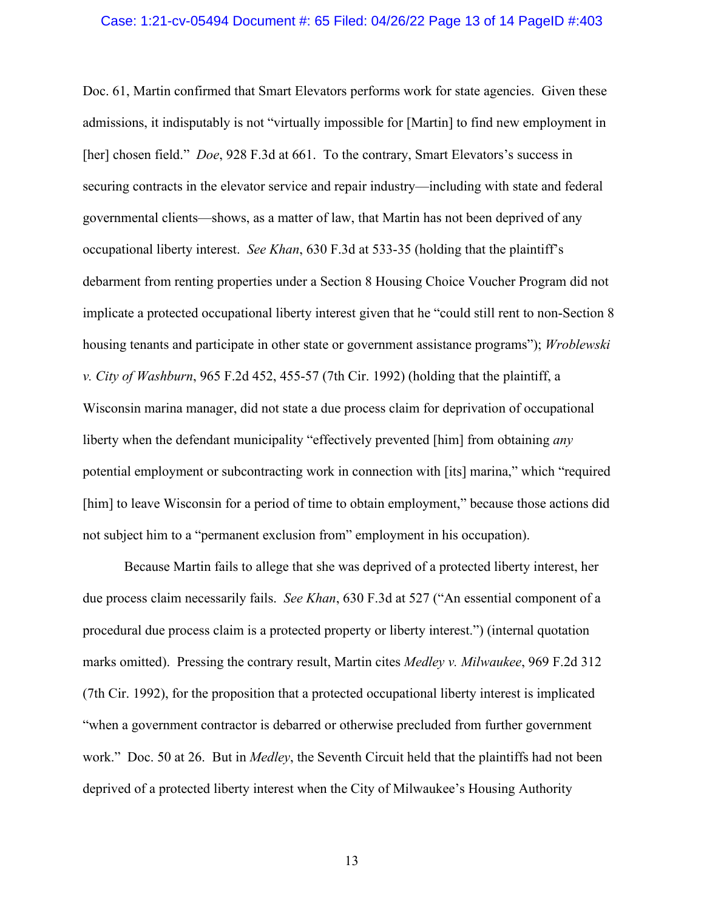#### Case: 1:21-cv-05494 Document #: 65 Filed: 04/26/22 Page 13 of 14 PageID #:403

Doc. 61, Martin confirmed that Smart Elevators performs work for state agencies. Given these admissions, it indisputably is not "virtually impossible for [Martin] to find new employment in [her] chosen field." *Doe*, 928 F.3d at 661. To the contrary, Smart Elevators's success in securing contracts in the elevator service and repair industry—including with state and federal governmental clients—shows, as a matter of law, that Martin has not been deprived of any occupational liberty interest. *See Khan*, 630 F.3d at 533-35 (holding that the plaintiff's debarment from renting properties under a Section 8 Housing Choice Voucher Program did not implicate a protected occupational liberty interest given that he "could still rent to non-Section 8 housing tenants and participate in other state or government assistance programs"); *Wroblewski v. City of Washburn*, 965 F.2d 452, 455-57 (7th Cir. 1992) (holding that the plaintiff, a Wisconsin marina manager, did not state a due process claim for deprivation of occupational liberty when the defendant municipality "effectively prevented [him] from obtaining *any* potential employment or subcontracting work in connection with [its] marina," which "required [him] to leave Wisconsin for a period of time to obtain employment," because those actions did not subject him to a "permanent exclusion from" employment in his occupation).

Because Martin fails to allege that she was deprived of a protected liberty interest, her due process claim necessarily fails. *See Khan*, 630 F.3d at 527 ("An essential component of a procedural due process claim is a protected property or liberty interest.") (internal quotation marks omitted). Pressing the contrary result, Martin cites *Medley v. Milwaukee*, 969 F.2d 312 (7th Cir. 1992), for the proposition that a protected occupational liberty interest is implicated "when a government contractor is debarred or otherwise precluded from further government work." Doc. 50 at 26. But in *Medley*, the Seventh Circuit held that the plaintiffs had not been deprived of a protected liberty interest when the City of Milwaukee's Housing Authority